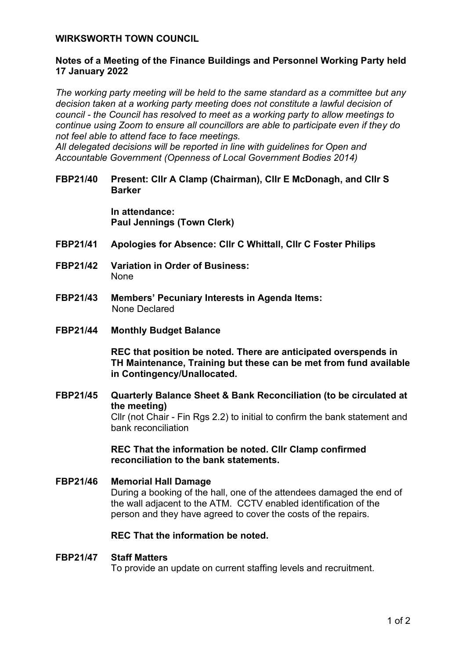## **WIRKSWORTH TOWN COUNCIL**

# **Notes of a Meeting of the Finance Buildings and Personnel Working Party held 17 January 2022**

*The working party meeting will be held to the same standard as a committee but any decision taken at a working party meeting does not constitute a lawful decision of council - the Council has resolved to meet as a working party to allow meetings to continue using Zoom to ensure all councillors are able to participate even if they do not feel able to attend face to face meetings.* 

*All delegated decisions will be reported in line with guidelines for Open and Accountable Government (Openness of Local Government Bodies 2014)* 

### **FBP21/40 Present: Cllr A Clamp (Chairman), Cllr E McDonagh, and Cllr S Barker**

**In attendance: Paul Jennings (Town Clerk)**

- **FBP21/41 Apologies for Absence: Cllr C Whittall, Cllr C Foster Philips**
- **FBP21/42 Variation in Order of Business:**  None
- **FBP21/43 Members' Pecuniary Interests in Agenda Items:**  None Declared
- **FBP21/44 Monthly Budget Balance**

**REC that position be noted. There are anticipated overspends in TH Maintenance, Training but these can be met from fund available in Contingency/Unallocated.**

**FBP21/45 Quarterly Balance Sheet & Bank Reconciliation (to be circulated at the meeting)**  Cllr (not Chair - Fin Rgs 2.2) to initial to confirm the bank statement and bank reconciliation

> **REC That the information be noted. Cllr Clamp confirmed reconciliation to the bank statements.**

# **FBP21/46 Memorial Hall Damage** During a booking of the hall, one of the attendees damaged the end of the wall adjacent to the ATM. CCTV enabled identification of the person and they have agreed to cover the costs of the repairs.

# **REC That the information be noted.**

#### **FBP21/47 Staff Matters**

To provide an update on current staffing levels and recruitment.